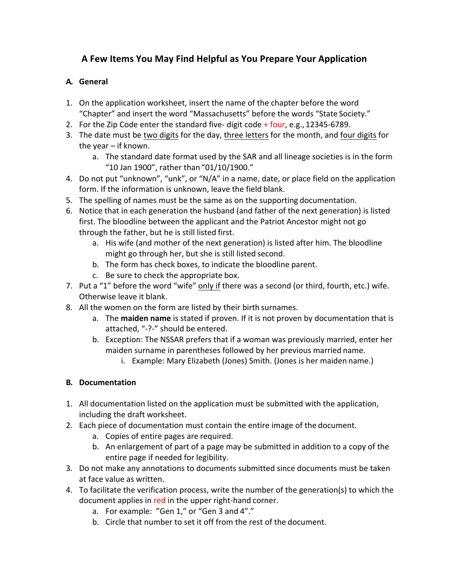# **A Few Items You May Find Helpful as You Prepare Your Application**

### **A. General**

- 1. On the application worksheet, insert the name of the chapter before the word "Chapter" and insert the word "Massachusetts" before the words "State Society."
- 2. For the Zip Code enter the standard five-digit code  $+$  four, e.g., 12345-6789.
- 3. The date must be two digits for the day, three letters for the month, and four digits for the year – if known.
	- a. The standard date format used by the SAR and all lineage societies is in the form "10 Jan 1900", rather than "01/10/1900."
- 4. Do not put "unknown", "unk", or "N/A" in a name, date, or place field on the application form. If the information is unknown, leave the field blank.
- 5. The spelling of names must be the same as on the supporting documentation.
- 6. Notice that in each generation the husband (and father of the next generation) is listed first. The bloodline between the applicant and the Patriot Ancestor might not go through the father, but he is still listed first.
	- a. His wife (and mother of the next generation) is listed after him. The bloodline might go through her, but she is still listed second.
	- b. The form has check boxes, to indicate the bloodline parent.
	- c. Be sure to check the appropriate box.
- 7. Put a "1" before the word "wife" only if there was a second (or third, fourth, etc.) wife. Otherwise leave it blank.
- 8. All the women on the form are listed by their birth surnames.
	- a. The **maiden name** is stated if proven. If it is not proven by documentation that is attached, "-?-" should be entered.
	- b. Exception: The NSSAR prefers that if a woman was previously married, enter her maiden surname in parentheses followed by her previous married name.
		- i. Example: Mary Elizabeth (Jones) Smith. (Jones is her maiden name.)

#### **B. Documentation**

- 1. All documentation listed on the application must be submitted with the application, including the draft worksheet.
- 2. Each piece of documentation must contain the entire image of the document.
	- a. Copies of entire pages are required.
	- b. An enlargement of part of a page may be submitted in addition to a copy of the entire page if needed for legibility.
- 3. Do not make any annotations to documents submitted since documents must be taken at face value as written.
- 4. To facilitate the verification process, write the number of the generation(s) to which the document applies in red in the upper right-hand corner.
	- a. For example: "Gen 1," or "Gen 3 and 4"."
	- b. Circle that number to set it off from the rest of the document.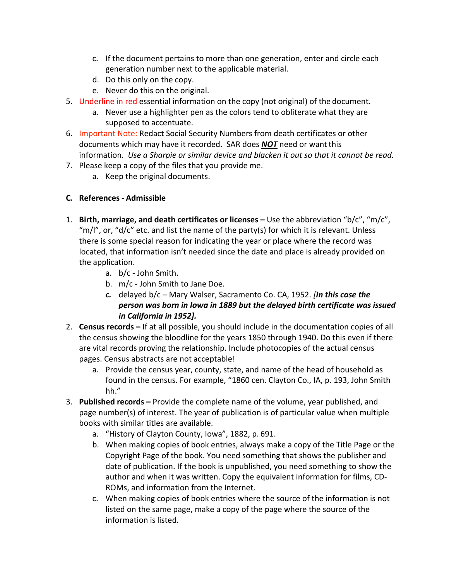- c. If the document pertains to more than one generation, enter and circle each generation number next to the applicable material.
- d. Do this only on the copy.
- e. Never do this on the original.
- 5. Underline in red essential information on the copy (not original) of the document.
	- a. Never use a highlighter pen as the colors tend to obliterate what they are supposed to accentuate.
- 6. Important Note: Redact Social Security Numbers from death certificates or other documents which may have it recorded. SAR does *NOT* need or wantthis information. *Use a Sharpie or similar device and blacken it out so that it cannot be read.*
- 7. Please keep a copy of the files that you provide me.
	- a. Keep the original documents.

## **C. References - Admissible**

- 1. **Birth, marriage, and death certificates or licenses –** Use the abbreviation "b/c", "m/c", "m/l", or, "d/c" etc. and list the name of the party(s) for which it is relevant. Unless there is some special reason for indicating the year or place where the record was located, that information isn't needed since the date and place is already provided on the application.
	- a. b/c John Smith.
	- b. m/c John Smith to Jane Doe.
	- *c.* delayed b/c Mary Walser, Sacramento Co. CA, 1952. *[In this case the person was born in Iowa in 1889 but the delayed birth certificate was issued in California in 1952].*
- 2. **Census records –** If at all possible, you should include in the documentation copies of all the census showing the bloodline for the years 1850 through 1940. Do this even if there are vital records proving the relationship. Include photocopies of the actual census pages. Census abstracts are not acceptable!
	- a. Provide the census year, county, state, and name of the head of household as found in the census. For example, "1860 cen. Clayton Co., IA, p. 193, John Smith hh."
- 3. **Published records –** Provide the complete name of the volume, year published, and page number(s) of interest. The year of publication is of particular value when multiple books with similar titles are available.
	- a. "History of Clayton County, Iowa", 1882, p. 691.
	- b. When making copies of book entries, always make a copy of the Title Page or the Copyright Page of the book. You need something that shows the publisher and date of publication. If the book is unpublished, you need something to show the author and when it was written. Copy the equivalent information for films, CD-ROMs, and information from the Internet.
	- c. When making copies of book entries where the source of the information is not listed on the same page, make a copy of the page where the source of the information is listed.